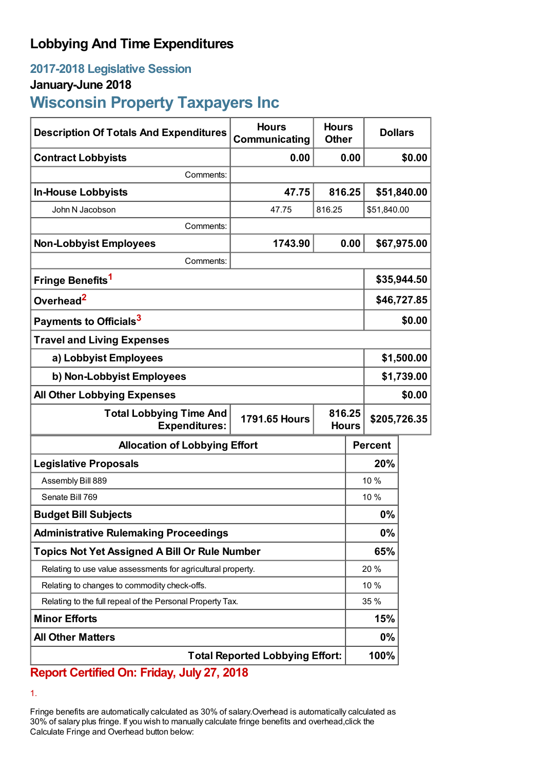## **Lobbying And Time Expenditures**

## **2017-2018 Legislative Session**

### **January-June 2018**

# **Wisconsin Property Taxpayers Inc**

| <b>Description Of Totals And Expenditures</b>                | <b>Hours</b><br><b>Communicating</b> | <b>Hours</b><br><b>Other</b>           |                | <b>Dollars</b> |             |
|--------------------------------------------------------------|--------------------------------------|----------------------------------------|----------------|----------------|-------------|
| <b>Contract Lobbyists</b>                                    | 0.00                                 |                                        | 0.00           |                | \$0.00      |
| Comments:                                                    |                                      |                                        |                |                |             |
| <b>In-House Lobbyists</b>                                    | 47.75                                | 816.25                                 |                |                | \$51,840.00 |
| John N Jacobson                                              | 47.75                                | 816.25                                 |                | \$51,840.00    |             |
| Comments:                                                    |                                      |                                        |                |                |             |
| <b>Non-Lobbyist Employees</b>                                | 1743.90                              |                                        | 0.00           |                | \$67,975.00 |
| Comments:                                                    |                                      |                                        |                |                |             |
| Fringe Benefits <sup>1</sup>                                 |                                      |                                        |                | \$35,944.50    |             |
| Overhead <sup>2</sup>                                        |                                      |                                        |                | \$46,727.85    |             |
| Payments to Officials <sup>3</sup>                           |                                      |                                        |                | \$0.00         |             |
| <b>Travel and Living Expenses</b>                            |                                      |                                        |                |                |             |
| a) Lobbyist Employees                                        |                                      |                                        |                | \$1,500.00     |             |
| b) Non-Lobbyist Employees                                    |                                      |                                        | \$1,739.00     |                |             |
| <b>All Other Lobbying Expenses</b>                           |                                      |                                        | \$0.00         |                |             |
| <b>Total Lobbying Time And</b><br><b>Expenditures:</b>       | <b>1791.65 Hours</b>                 | 816.25<br>\$205,726.35<br><b>Hours</b> |                |                |             |
| <b>Allocation of Lobbying Effort</b>                         |                                      |                                        | <b>Percent</b> |                |             |
| <b>Legislative Proposals</b>                                 |                                      |                                        | 20%            |                |             |
| Assembly Bill 889                                            |                                      |                                        |                | 10 %           |             |
| Senate Bill 769                                              |                                      |                                        |                | 10 %           |             |
| <b>Budget Bill Subjects</b>                                  |                                      |                                        | 0%             |                |             |
| <b>Administrative Rulemaking Proceedings</b>                 |                                      |                                        | 0%             |                |             |
| <b>Topics Not Yet Assigned A Bill Or Rule Number</b>         |                                      |                                        | 65%            |                |             |
| Relating to use value assessments for agricultural property. |                                      |                                        | 20%            |                |             |
| Relating to changes to commodity check-offs.                 |                                      |                                        |                | 10 %           |             |
| Relating to the full repeal of the Personal Property Tax.    |                                      |                                        | 35 %           |                |             |
| <b>Minor Efforts</b>                                         |                                      |                                        | 15%            |                |             |
| <b>All Other Matters</b>                                     |                                      |                                        | $0\%$          |                |             |
| <b>Total Reported Lobbying Effort:</b>                       |                                      |                                        |                | 100%           |             |

## **Report Certified On: Friday, July 27, 2018**

1.

Fringe benefits are automatically calculated as 30% of salary.Overhead is automatically calculated as 30% of salary plus fringe. If you wish to manually calculate fringe benefits and overhead,click the Calculate Fringe and Overhead button below: